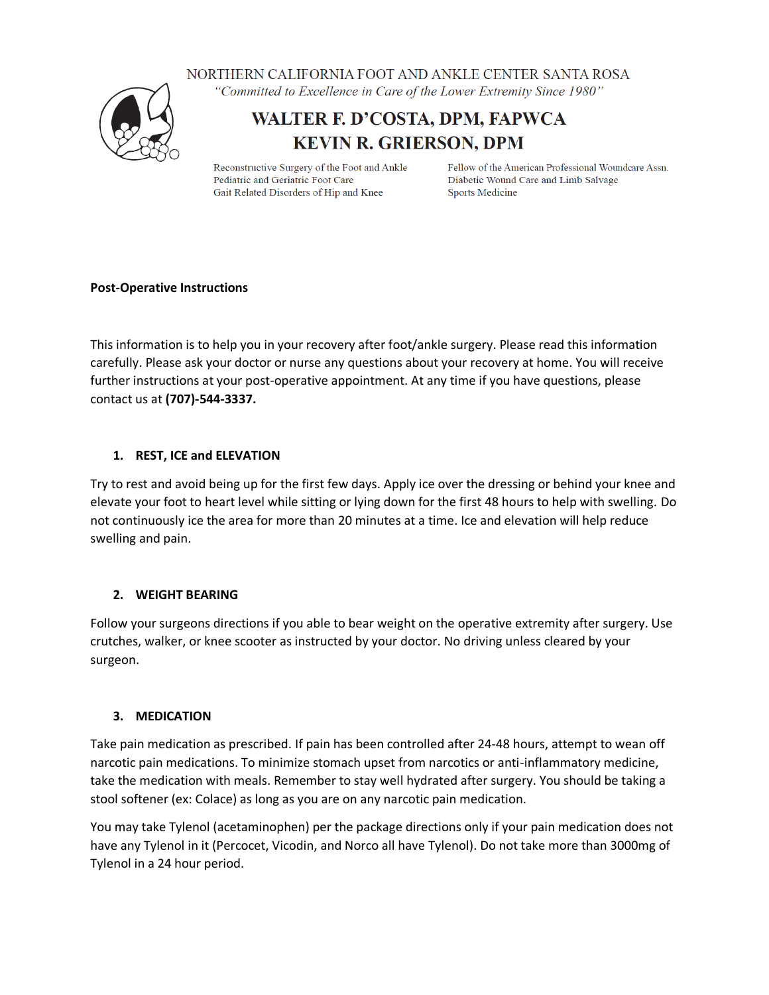NORTHERN CALIFORNIA FOOT AND ANKLE CENTER SANTA ROSA



"Committed to Excellence in Care of the Lower Extremity Since 1980"

# WALTER F. D'COSTA, DPM, FAPWCA **KEVIN R. GRIERSON, DPM**

Reconstructive Surgery of the Foot and Ankle Pediatric and Geriatric Foot Care Gait Related Disorders of Hip and Knee

Fellow of the American Professional Woundcare Assn. Diabetic Wound Care and Limb Salvage **Sports Medicine** 

# **Post-Operative Instructions**

This information is to help you in your recovery after foot/ankle surgery. Please read this information carefully. Please ask your doctor or nurse any questions about your recovery at home. You will receive further instructions at your post-operative appointment. At any time if you have questions, please contact us at **(707)-544-3337.**

# **1. REST, ICE and ELEVATION**

Try to rest and avoid being up for the first few days. Apply ice over the dressing or behind your knee and elevate your foot to heart level while sitting or lying down for the first 48 hours to help with swelling. Do not continuously ice the area for more than 20 minutes at a time. Ice and elevation will help reduce swelling and pain.

# **2. WEIGHT BEARING**

Follow your surgeons directions if you able to bear weight on the operative extremity after surgery. Use crutches, walker, or knee scooter as instructed by your doctor. No driving unless cleared by your surgeon.

# **3. MEDICATION**

Take pain medication as prescribed. If pain has been controlled after 24-48 hours, attempt to wean off narcotic pain medications. To minimize stomach upset from narcotics or anti-inflammatory medicine, take the medication with meals. Remember to stay well hydrated after surgery. You should be taking a stool softener (ex: Colace) as long as you are on any narcotic pain medication.

You may take Tylenol (acetaminophen) per the package directions only if your pain medication does not have any Tylenol in it (Percocet, Vicodin, and Norco all have Tylenol). Do not take more than 3000mg of Tylenol in a 24 hour period.